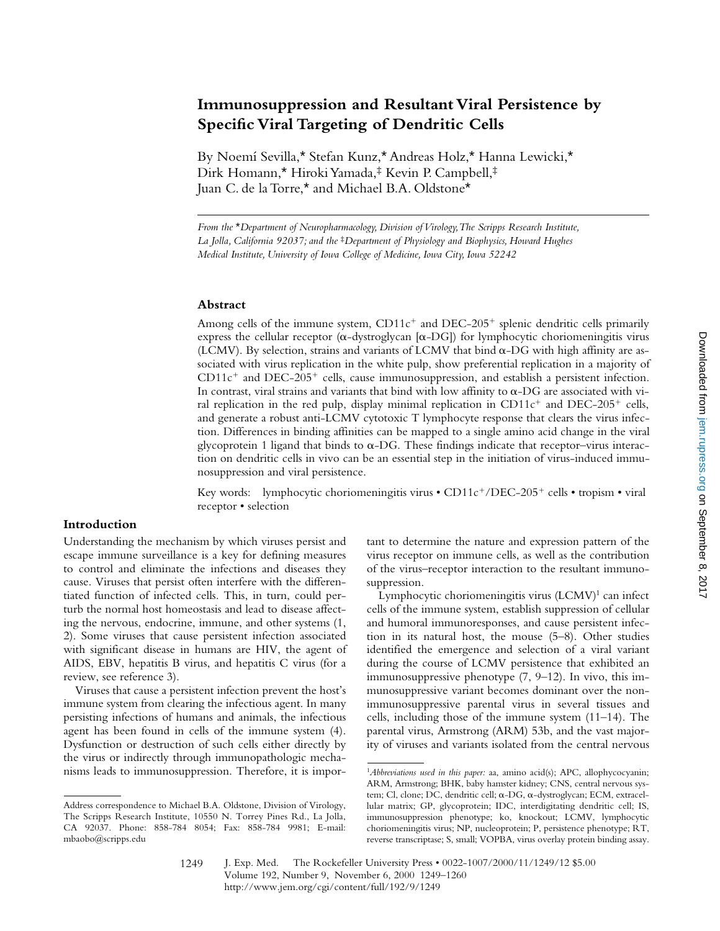# **Immunosuppression and Resultant Viral Persistence by Specific Viral Targeting of Dendritic Cells**

By Noemí Sevilla,\* Stefan Kunz,\* Andreas Holz,\* Hanna Lewicki,\* Dirk Homann,\* Hiroki Yamada,‡ Kevin P. Campbell,‡ Juan C. de la Torre,\* and Michael B.A. Oldstone\*

*From the* \**Department of Neuropharmacology, Division of Virology, The Scripps Research Institute, La Jolla, California 92037; and the* ‡*Department of Physiology and Biophysics, Howard Hughes Medical Institute, University of Iowa College of Medicine, Iowa City, Iowa 52242*

#### **Abstract**

Among cells of the immune system,  $CD11c^{+}$  and  $DEC-205^{+}$  splenic dendritic cells primarily express the cellular receptor ( $\alpha$ -dystroglycan [ $\alpha$ -DG]) for lymphocytic choriomeningitis virus (LCMV). By selection, strains and variants of LCMV that bind  $\alpha$ -DG with high affinity are associated with virus replication in the white pulp, show preferential replication in a majority of  $CD11c<sup>+</sup>$  and DEC-205<sup>+</sup> cells, cause immunosuppression, and establish a persistent infection. In contrast, viral strains and variants that bind with low affinity to  $\alpha$ -DG are associated with viral replication in the red pulp, display minimal replication in  $CD11c^+$  and  $DEC-205^+$  cells, and generate a robust anti-LCMV cytotoxic T lymphocyte response that clears the virus infection. Differences in binding affinities can be mapped to a single amino acid change in the viral glycoprotein 1 ligand that binds to  $\alpha$ -DG. These findings indicate that receptor–virus interaction on dendritic cells in vivo can be an essential step in the initiation of virus-induced immunosuppression and viral persistence.

Key words: lymphocytic choriomeningitis virus • CD11c<sup>+</sup>/DEC-205<sup>+</sup> cells • tropism • viral receptor • selection

# **Introduction**

Understanding the mechanism by which viruses persist and escape immune surveillance is a key for defining measures to control and eliminate the infections and diseases they cause. Viruses that persist often interfere with the differentiated function of infected cells. This, in turn, could perturb the normal host homeostasis and lead to disease affecting the nervous, endocrine, immune, and other systems (1, 2). Some viruses that cause persistent infection associated with significant disease in humans are HIV, the agent of AIDS, EBV, hepatitis B virus, and hepatitis C virus (for a review, see reference 3).

Viruses that cause a persistent infection prevent the host's immune system from clearing the infectious agent. In many persisting infections of humans and animals, the infectious agent has been found in cells of the immune system (4). Dysfunction or destruction of such cells either directly by the virus or indirectly through immunopathologic mechanisms leads to immunosuppression. Therefore, it is important to determine the nature and expression pattern of the virus receptor on immune cells, as well as the contribution of the virus–receptor interaction to the resultant immunosuppression.

Lymphocytic choriomeningitis virus (LCMV)1 can infect cells of the immune system, establish suppression of cellular and humoral immunoresponses, and cause persistent infection in its natural host, the mouse (5–8). Other studies identified the emergence and selection of a viral variant during the course of LCMV persistence that exhibited an immunosuppressive phenotype (7, 9–12). In vivo, this immunosuppressive variant becomes dominant over the nonimmunosuppressive parental virus in several tissues and cells, including those of the immune system (11–14). The parental virus, Armstrong (ARM) 53b, and the vast majority of viruses and variants isolated from the central nervous

Address correspondence to Michael B.A. Oldstone, Division of Virology, The Scripps Research Institute, 10550 N. Torrey Pines Rd., La Jolla, CA 92037. Phone: 858-784 8054; Fax: 858-784 9981; E-mail: mbaobo@scripps.edu

<sup>&</sup>lt;sup>1</sup>Abbreviations used in this paper: aa, amino acid(s); APC, allophycocyanin; ARM, Armstrong; BHK, baby hamster kidney; CNS, central nervous system; Cl, clone; DC, dendritic cell; α-DG, α-dystroglycan; ECM, extracellular matrix; GP, glycoprotein; IDC, interdigitating dendritic cell; IS, immunosuppression phenotype; ko, knockout; LCMV, lymphocytic choriomeningitis virus; NP, nucleoprotein; P, persistence phenotype; RT, reverse transcriptase; S, small; VOPBA, virus overlay protein binding assay.

J. Exp. Med. © The Rockefeller University Press • 0022-1007/2000/11/1249/12 \$5.00 Volume 192, Number 9, November 6, 2000 1249–1260 http://www.jem.org/cgi/content/full/192/9/1249 1249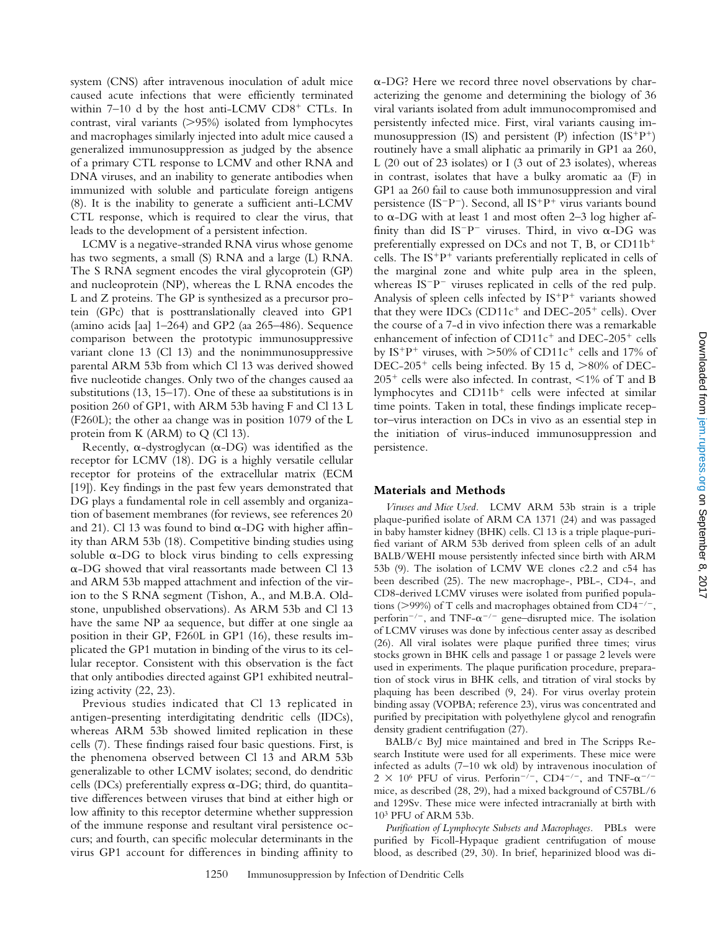system (CNS) after intravenous inoculation of adult mice caused acute infections that were efficiently terminated within  $7-10$  d by the host anti-LCMV CD8<sup>+</sup> CTLs. In contrast, viral variants  $(>\!\!>$ 95%) isolated from lymphocytes and macrophages similarly injected into adult mice caused a generalized immunosuppression as judged by the absence of a primary CTL response to LCMV and other RNA and DNA viruses, and an inability to generate antibodies when immunized with soluble and particulate foreign antigens (8). It is the inability to generate a sufficient anti-LCMV CTL response, which is required to clear the virus, that leads to the development of a persistent infection.

LCMV is a negative-stranded RNA virus whose genome has two segments, a small (S) RNA and a large (L) RNA. The S RNA segment encodes the viral glycoprotein (GP) and nucleoprotein (NP), whereas the L RNA encodes the L and Z proteins. The GP is synthesized as a precursor protein (GPc) that is posttranslationally cleaved into GP1 (amino acids [aa]  $1-264$ ) and GP2 (aa  $265-486$ ). Sequence comparison between the prototypic immunosuppressive variant clone 13 (Cl 13) and the nonimmunosuppressive parental ARM 53b from which Cl 13 was derived showed five nucleotide changes. Only two of the changes caused aa substitutions (13, 15–17). One of these aa substitutions is in position 260 of GP1, with ARM 53b having F and Cl 13 L (F260L); the other aa change was in position 1079 of the L protein from K (ARM) to Q (Cl 13).

Recently,  $\alpha$ -dystroglycan ( $\alpha$ -DG) was identified as the receptor for LCMV (18). DG is a highly versatile cellular receptor for proteins of the extracellular matrix (ECM [19]). Key findings in the past few years demonstrated that DG plays a fundamental role in cell assembly and organization of basement membranes (for reviews, see references 20 and 21). Cl 13 was found to bind  $\alpha$ -DG with higher affinity than ARM 53b (18). Competitive binding studies using soluble  $\alpha$ -DG to block virus binding to cells expressing  $\alpha$ -DG showed that viral reassortants made between Cl 13 and ARM 53b mapped attachment and infection of the virion to the S RNA segment (Tishon, A., and M.B.A. Oldstone, unpublished observations). As ARM 53b and Cl 13 have the same NP aa sequence, but differ at one single aa position in their GP, F260L in GP1 (16), these results implicated the GP1 mutation in binding of the virus to its cellular receptor. Consistent with this observation is the fact that only antibodies directed against GP1 exhibited neutralizing activity (22, 23).

Previous studies indicated that Cl 13 replicated in antigen-presenting interdigitating dendritic cells (IDCs), whereas ARM 53b showed limited replication in these cells (7). These findings raised four basic questions. First, is the phenomena observed between Cl 13 and ARM 53b generalizable to other LCMV isolates; second, do dendritic cells (DCs) preferentially express  $\alpha$ -DG; third, do quantitative differences between viruses that bind at either high or low affinity to this receptor determine whether suppression of the immune response and resultant viral persistence occurs; and fourth, can specific molecular determinants in the virus GP1 account for differences in binding affinity to

 $\alpha$ -DG? Here we record three novel observations by characterizing the genome and determining the biology of 36 viral variants isolated from adult immunocompromised and persistently infected mice. First, viral variants causing immunosuppression (IS) and persistent (P) infection  $(IS^+P^+)$ routinely have a small aliphatic aa primarily in GP1 aa 260, L (20 out of 23 isolates) or I (3 out of 23 isolates), whereas in contrast, isolates that have a bulky aromatic aa (F) in GP1 aa 260 fail to cause both immunosuppression and viral persistence (IS<sup>-</sup>P<sup>-</sup>). Second, all IS<sup>+</sup>P<sup>+</sup> virus variants bound to  $\alpha$ -DG with at least 1 and most often 2–3 log higher affinity than did IS<sup>-p-</sup> viruses. Third, in vivo  $\alpha$ -DG was preferentially expressed on DCs and not T, B, or  $CD11b^+$ cells. The  $IS+P^+$  variants preferentially replicated in cells of the marginal zone and white pulp area in the spleen, whereas  $IS-P^-$  viruses replicated in cells of the red pulp. Analysis of spleen cells infected by  $IS+P^+$  variants showed that they were IDCs (CD11 $c^+$  and DEC-205<sup>+</sup> cells). Over the course of a 7-d in vivo infection there was a remarkable enhancement of infection of  $CD11c^+$  and  $DEC-205^+$  cells by IS<sup>+</sup>P<sup>+</sup> viruses, with  $>50\%$  of CD11c<sup>+</sup> cells and 17% of DEC-205<sup>+</sup> cells being infected. By 15 d,  $>80\%$  of DEC- $205^+$  cells were also infected. In contrast,  $\leq 1\%$  of T and B lymphocytes and  $CD11b<sup>+</sup>$  cells were infected at similar time points. Taken in total, these findings implicate receptor–virus interaction on DCs in vivo as an essential step in the initiation of virus-induced immunosuppression and persistence.

#### **Materials and Methods**

*Viruses and Mice Used.* LCMV ARM 53b strain is a triple plaque-purified isolate of ARM CA 1371 (24) and was passaged in baby hamster kidney (BHK) cells. Cl 13 is a triple plaque-purified variant of ARM 53b derived from spleen cells of an adult BALB/WEHI mouse persistently infected since birth with ARM 53b (9). The isolation of LCMV WE clones c2.2 and c54 has been described (25). The new macrophage-, PBL-, CD4-, and CD8-derived LCMV viruses were isolated from purified populations ( $>$ 99%) of T cells and macrophages obtained from CD4<sup>-/-</sup>, perform<sup>-/-</sup>, and TNF- $\alpha$ <sup>-/-</sup> gene–disrupted mice. The isolation of LCMV viruses was done by infectious center assay as described (26). All viral isolates were plaque purified three times; virus stocks grown in BHK cells and passage 1 or passage 2 levels were used in experiments. The plaque purification procedure, preparation of stock virus in BHK cells, and titration of viral stocks by plaquing has been described (9, 24). For virus overlay protein binding assay (VOPBA; reference 23), virus was concentrated and purified by precipitation with polyethylene glycol and renografin density gradient centrifugation (27).

BALB/c ByJ mice maintained and bred in The Scripps Research Institute were used for all experiments. These mice were infected as adults (7–10 wk old) by intravenous inoculation of  $2 \times 10^6$  PFU of virus. Perforin<sup>-/-</sup>, CD4<sup>-/-</sup>, and TNF- $\alpha^{-/-}$ mice, as described (28, 29), had a mixed background of C57BL/6 and 129Sv. These mice were infected intracranially at birth with  $10<sup>3</sup>$  PFU of ARM 53b.

*Purification of Lymphocyte Subsets and Macrophages.* PBLs were purified by Ficoll-Hypaque gradient centrifugation of mouse blood, as described (29, 30). In brief, heparinized blood was di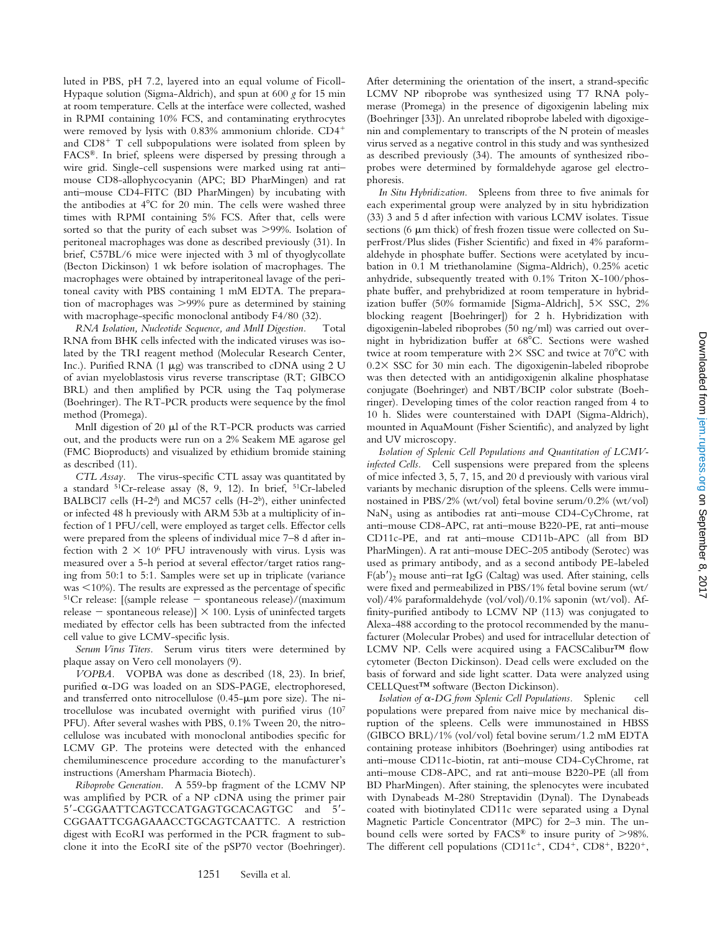luted in PBS, pH 7.2, layered into an equal volume of Ficoll-Hypaque solution (Sigma-Aldrich), and spun at 600 *g* for 15 min at room temperature. Cells at the interface were collected, washed in RPMI containing 10% FCS, and contaminating erythrocytes were removed by lysis with 0.83% ammonium chloride. CD4<sup>+</sup> and  $CD8<sup>+</sup>$  T cell subpopulations were isolated from spleen by FACS®. In brief, spleens were dispersed by pressing through a wire grid. Single-cell suspensions were marked using rat anti– mouse CD8-allophycocyanin (APC; BD PharMingen) and rat anti–mouse CD4-FITC (BD PharMingen) by incubating with the antibodies at  $4^{\circ}$ C for 20 min. The cells were washed three times with RPMI containing 5% FCS. After that, cells were sorted so that the purity of each subset was  $>99\%$ . Isolation of peritoneal macrophages was done as described previously (31). In brief, C57BL/6 mice were injected with 3 ml of thyoglycollate (Becton Dickinson) 1 wk before isolation of macrophages. The macrophages were obtained by intraperitoneal lavage of the peritoneal cavity with PBS containing 1 mM EDTA. The preparation of macrophages was  $>99\%$  pure as determined by staining with macrophage-specific monoclonal antibody F4/80 (32).

*RNA Isolation, Nucleotide Sequence, and MnlI Digestion.* Total RNA from BHK cells infected with the indicated viruses was isolated by the TRI reagent method (Molecular Research Center, Inc.). Purified RNA (1  $\mu$ g) was transcribed to cDNA using 2 U of avian myeloblastosis virus reverse transcriptase (RT; GIBCO BRL) and then amplified by PCR using the Taq polymerase (Boehringer). The RT-PCR products were sequence by the fmol method (Promega).

MnlI digestion of 20 µl of the RT-PCR products was carried out, and the products were run on a 2% Seakem ME agarose gel (FMC Bioproducts) and visualized by ethidium bromide staining as described (11).

*CTL Assay.* The virus-specific CTL assay was quantitated by a standard 51Cr-release assay (8, 9, 12). In brief, 51Cr-labeled BALBCl7 cells (H-2<sup>d</sup>) and MC57 cells (H-2<sup>b</sup>), either uninfected or infected 48 h previously with ARM 53b at a multiplicity of infection of 1 PFU/cell, were employed as target cells. Effector cells were prepared from the spleens of individual mice 7–8 d after infection with  $2 \times 10^6$  PFU intravenously with virus. Lysis was measured over a 5-h period at several effector/target ratios ranging from 50:1 to 5:1. Samples were set up in triplicate (variance  $was < 10%$ ). The results are expressed as the percentage of specific <sup>51</sup>Cr release: [(sample release - spontaneous release)/(maximum release - spontaneous release)]  $\times$  100. Lysis of uninfected targets mediated by effector cells has been subtracted from the infected cell value to give LCMV-specific lysis.

*Serum Virus Titers.* Serum virus titers were determined by plaque assay on Vero cell monolayers (9).

*VOPBA.* VOPBA was done as described (18, 23). In brief, purified a-DG was loaded on an SDS-PAGE, electrophoresed, and transferred onto nitrocellulose  $(0.45 - \mu m)$  pore size). The nitrocellulose was incubated overnight with purified virus (107 PFU). After several washes with PBS, 0.1% Tween 20, the nitrocellulose was incubated with monoclonal antibodies specific for LCMV GP. The proteins were detected with the enhanced chemiluminescence procedure according to the manufacturer's instructions (Amersham Pharmacia Biotech).

*Riboprobe Generation.* A 559-bp fragment of the LCMV NP was amplified by PCR of a NP cDNA using the primer pair 5'-CGGAATTCAGTCCATGAGTGCACAGTGC and 5'-CGGAATTCGAGAAACCTGCAGTCAATTC. A restriction digest with EcoRI was performed in the PCR fragment to subclone it into the EcoRI site of the pSP70 vector (Boehringer).

After determining the orientation of the insert, a strand-specific LCMV NP riboprobe was synthesized using T7 RNA polymerase (Promega) in the presence of digoxigenin labeling mix (Boehringer [33]). An unrelated riboprobe labeled with digoxigenin and complementary to transcripts of the N protein of measles virus served as a negative control in this study and was synthesized as described previously (34). The amounts of synthesized riboprobes were determined by formaldehyde agarose gel electrophoresis.

*In Situ Hybridization.* Spleens from three to five animals for each experimental group were analyzed by in situ hybridization (33) 3 and 5 d after infection with various LCMV isolates. Tissue sections (6  $\mu$ m thick) of fresh frozen tissue were collected on SuperFrost/Plus slides (Fisher Scientific) and fixed in 4% paraformaldehyde in phosphate buffer. Sections were acetylated by incubation in 0.1 M triethanolamine (Sigma-Aldrich), 0.25% acetic anhydride, subsequently treated with 0.1% Triton X-100/phosphate buffer, and prehybridized at room temperature in hybridization buffer (50% formamide [Sigma-Aldrich],  $5 \times$  SSC, 2% blocking reagent [Boehringer]) for 2 h. Hybridization with digoxigenin-labeled riboprobes (50 ng/ml) was carried out overnight in hybridization buffer at 68°C. Sections were washed twice at room temperature with  $2 \times$  SSC and twice at 70 $\degree$ C with  $0.2 \times$  SSC for 30 min each. The digoxigenin-labeled riboprobe was then detected with an antidigoxigenin alkaline phosphatase conjugate (Boehringer) and NBT/BCIP color substrate (Boehringer). Developing times of the color reaction ranged from 4 to 10 h. Slides were counterstained with DAPI (Sigma-Aldrich), mounted in AquaMount (Fisher Scientific), and analyzed by light and UV microscopy.

*Isolation of Splenic Cell Populations and Quantitation of LCMVinfected Cells.* Cell suspensions were prepared from the spleens of mice infected 3, 5, 7, 15, and 20 d previously with various viral variants by mechanic disruption of the spleens. Cells were immunostained in PBS/2% (wt/vol) fetal bovine serum/0.2% (wt/vol)  $NaN<sub>3</sub>$  using as antibodies rat anti-mouse CD4-CyChrome, rat anti–mouse CD8-APC, rat anti–mouse B220-PE, rat anti–mouse CD11c-PE, and rat anti–mouse CD11b-APC (all from BD PharMingen). A rat anti–mouse DEC-205 antibody (Serotec) was used as primary antibody, and as a second antibody PE-labeled  $F(ab')_2$  mouse anti-rat IgG (Caltag) was used. After staining, cells were fixed and permeabilized in PBS/1% fetal bovine serum (wt/ vol)/4% paraformaldehyde (vol/vol)/0.1% saponin (wt/vol). Affinity-purified antibody to LCMV NP (113) was conjugated to Alexa-488 according to the protocol recommended by the manufacturer (Molecular Probes) and used for intracellular detection of LCMV NP. Cells were acquired using a FACSCalibur™ flow cytometer (Becton Dickinson). Dead cells were excluded on the basis of forward and side light scatter. Data were analyzed using CELLQuest™ software (Becton Dickinson).

*Isolation of* a*-DG from Splenic Cell Populations.* Splenic cell populations were prepared from naive mice by mechanical disruption of the spleens. Cells were immunostained in HBSS (GIBCO BRL)/1% (vol/vol) fetal bovine serum/1.2 mM EDTA containing protease inhibitors (Boehringer) using antibodies rat anti–mouse CD11c-biotin, rat anti–mouse CD4-CyChrome, rat anti–mouse CD8-APC, and rat anti–mouse B220-PE (all from BD PharMingen). After staining, the splenocytes were incubated with Dynabeads M-280 Streptavidin (Dynal). The Dynabeads coated with biotinylated CD11c were separated using a Dynal Magnetic Particle Concentrator (MPC) for 2–3 min. The unbound cells were sorted by  $FACS^{\circledast}$  to insure purity of  $>98\%$ . The different cell populations (CD11 $c^+$ , CD4<sup>+</sup>, CD8<sup>+</sup>, B220<sup>+</sup>,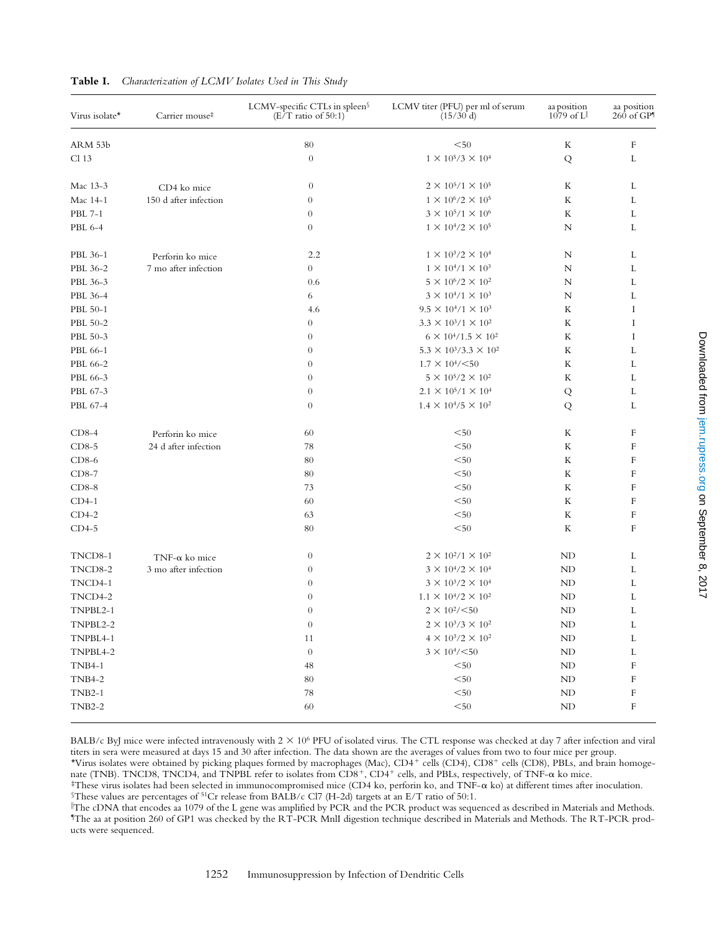| Virus isolate* | Carrier mouse <sup>#</sup>               | LCMV-specific CTLs in spleen§<br>$(E/T$ ratio of 50:1) | LCMV titer (PFU) per ml of serum<br>(15/30 d) | aa position<br>$1079$ of $L^{\parallel}$ | aa position<br>$260$ of $GP1$ |
|----------------|------------------------------------------|--------------------------------------------------------|-----------------------------------------------|------------------------------------------|-------------------------------|
| ARM 53b        |                                          | 80                                                     | $50$                                          | K                                        | F                             |
| Cl 13          |                                          | $\boldsymbol{0}$                                       | $1 \times 10^5 / 3 \times 10^4$               | Q                                        | L                             |
| Mac 13-3       | CD4 ko mice<br>150 d after infection     | $\boldsymbol{0}$                                       | $2 \times 10^5 / 1 \times 10^5$               | K                                        | L                             |
| Mac 14-1       |                                          | $\overline{0}$                                         | $1 \times 10^{6}/2 \times 10^{5}$             | K                                        | L                             |
| <b>PBL 7-1</b> |                                          | $\overline{0}$                                         | $3 \times 10^5 / 1 \times 10^6$               | K                                        | L                             |
| PBL 6-4        |                                          | $\overline{0}$                                         | $1\times10^4\!/2\times10^5$                   | $\mathbb N$                              | L                             |
| PBL 36-1       | Perforin ko mice                         | 2.2                                                    | $1 \times 10^3 / 2 \times 10^4$               | N                                        | L                             |
| PBL 36-2       | 7 mo after infection                     | $\overline{0}$                                         | $1 \times 10^{4}/1 \times 10^{3}$             | N                                        | L                             |
| PBL 36-3       |                                          | 0.6                                                    | $5 \times 10^6 / 2 \times 10^2$               | N                                        | L                             |
| PBL 36-4       |                                          | 6                                                      | $3 \times 10^{4}/1 \times 10^{3}$             | N                                        | L                             |
| PBL 50-1       |                                          | 4.6                                                    | $9.5 \times 10^{4}/1 \times 10^{3}$           | K                                        | Ι                             |
| PBL 50-2       |                                          | $\overline{0}$                                         | $3.3 \times 10^{3}/1 \times 10^{2}$           | K                                        | I                             |
| PBL 50-3       |                                          | $\overline{0}$                                         | $6 \times 10^{4}/1.5 \times 10^{2}$           | K                                        | Ι                             |
| PBL 66-1       |                                          | $\overline{0}$                                         | $5.3 \times 10^3 / 3.3 \times 10^2$           | K                                        | L                             |
| PBL 66-2       |                                          | $\overline{0}$                                         | $1.7 \times 10^{4} / \leq 50$                 | K                                        | L                             |
| PBL 66-3       |                                          | $\mathbf{0}$                                           | $5 \times 10^5 / 2 \times 10^2$               | K                                        | L                             |
| PBL 67-3       |                                          | $\mathbf{0}$                                           | $2.1 \times 10^5/1 \times 10^4$               | Q                                        | L                             |
| PBL 67-4       |                                          | $\theta$                                               | $1.4 \times 10^{4}/5 \times 10^{2}$           | Q                                        | L                             |
| $CD8-4$        | Perforin ko mice<br>24 d after infection | 60                                                     | $50$                                          | K                                        | F                             |
| $CD8-5$        |                                          | 78                                                     | $50$                                          | K                                        | F                             |
| $CD8-6$        |                                          | 80                                                     | $50$                                          | K                                        | F                             |
| $CD8-7$        |                                          | 80                                                     | $50$                                          | K                                        | $\mathbf F$                   |
| $CD8-8$        |                                          | 73                                                     | $50$                                          | K                                        | $\mathbf F$                   |
| $CD4-1$        |                                          | 60                                                     | $50$                                          | K                                        | $\mathbf F$                   |
| $CD4-2$        |                                          | 63                                                     | $50$                                          | K                                        | $\mathbf F$                   |
| $CD4-5$        |                                          | 80                                                     | $50$                                          | K                                        | $\mathbf F$                   |
| TNCD8-1        | TNF- $\alpha$ ko mice                    | $\theta$                                               | $2 \times 10^{2}/1 \times 10^{2}$             | ND                                       | L                             |
| TNCD8-2        | 3 mo after infection                     | $\theta$                                               | $3\times10^4\!/2\times10^4$                   | ND                                       | L                             |
| TNCD4-1        |                                          | $\overline{0}$                                         | $3 \times 10^{3}/2 \times 10^{4}$             | ND                                       | L                             |
| TNCD4-2        |                                          | $\mathbf{0}$                                           | $1.1 \times 10^{4}/2 \times 10^{2}$           | ND                                       | L                             |
| TNPBL2-1       |                                          | $\theta$                                               | $2 \times 10^{2} / 50$                        | ND                                       | L                             |
| TNPBL2-2       |                                          | $\theta$                                               | $2\times10^3/3\times10^2$                     | ND                                       | L                             |
| TNPBL4-1       |                                          | 11                                                     | $4 \times 10^3 / 2 \times 10^2$               | ND                                       | L                             |
| TNPBL4-2       |                                          | $\theta$                                               | $3 \times 10^{4} / 50$                        | ND                                       | L                             |
| <b>TNB4-1</b>  |                                          | $\sqrt{48}$                                            | $< \! 50$                                     | ND                                       | F                             |
| <b>TNB4-2</b>  |                                          | 80                                                     | $< \! 50$                                     | ND                                       | $\boldsymbol{\mathrm{F}}$     |
| $TNB2-1$       |                                          | $78\,$                                                 | $< \! 50$                                     | ND                                       | $\boldsymbol{\mathrm{F}}$     |
| $TNB2-2$       |                                          | 60                                                     | $< \! 50$                                     | $\mbox{ND}$                              | $\mathbf F$                   |

# **Table I.** *Characterization of LCMV Isolates Used in This Study*

BALB/c ByJ mice were infected intravenously with  $2 \times 10^6$  PFU of isolated virus. The CTL response was checked at day 7 after infection and viral titers in sera were measured at days 15 and 30 after infection. The data shown are the averages of values from two to four mice per group. \*Virus isolates were obtained by picking plaques formed by macrophages (Mac), CD4<sup>+</sup> cells (CD4), CD8<sup>+</sup> cells (CD8), PBLs, and brain homoge-

nate (TNB). TNCD8, TNCD4, and TNPBL refer to isolates from CD8+, CD4+ cells, and PBLs, respectively, of TNF- $\alpha$  ko mice.

 $\text{FThese virus isolates had been selected in immunocompromised mice (CD4 ko, perform ko, and TNF- $\alpha$  ko) at different times after inoculation.$  $$$ These values are percentages of <sup>51</sup>Cr release from BALB/c Cl7 (H-2d) targets at an E/T ratio of 50:1.

i The cDNA that encodes aa 1079 of the L gene was amplified by PCR and the PCR product was sequenced as described in Materials and Methods. ¶ The aa at position 260 of GP1 was checked by the RT-PCR MnlI digestion technique described in Materials and Methods. The RT-PCR products were sequenced.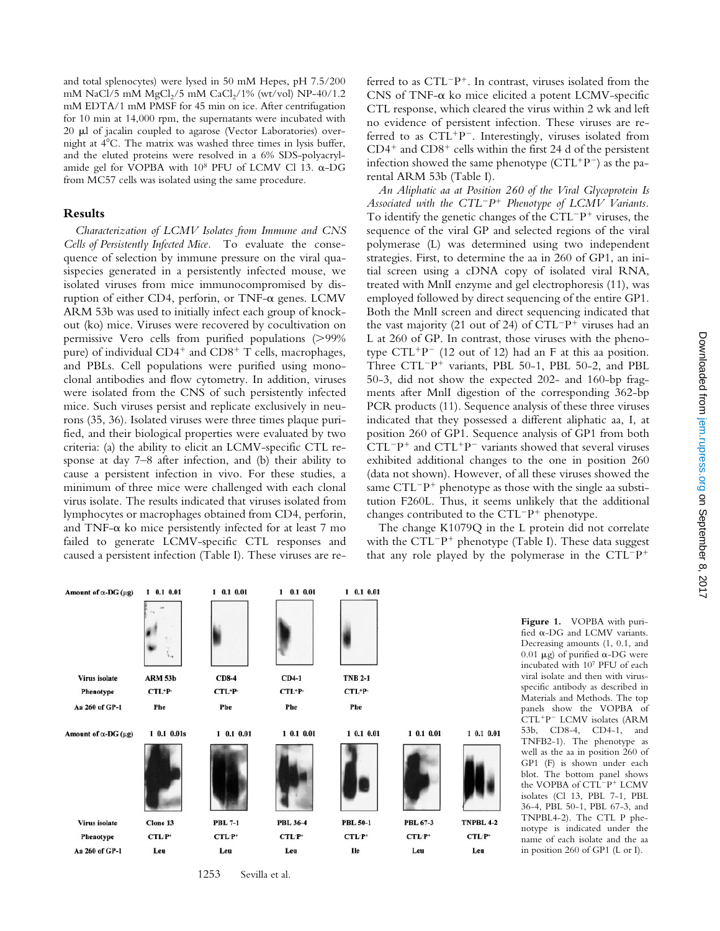and total splenocytes) were lysed in 50 mM Hepes, pH 7.5/200 mM NaCl/5 mM MgCl<sub>2</sub>/5 mM CaCl<sub>2</sub>/1% (wt/vol) NP-40/1.2 mM EDTA/1 mM PMSF for 45 min on ice. After centrifugation for 10 min at 14,000 rpm, the supernatants were incubated with 20 µl of jacalin coupled to agarose (Vector Laboratories) overnight at  $4^{\circ}$ C. The matrix was washed three times in lysis buffer, and the eluted proteins were resolved in a 6% SDS-polyacrylamide gel for VOPBA with  $10^8$  PFU of LCMV Cl 13.  $\alpha$ -DG from MC57 cells was isolated using the same procedure.

# **Results**

*Characterization of LCMV Isolates from Immune and CNS Cells of Persistently Infected Mice.* To evaluate the consequence of selection by immune pressure on the viral quasispecies generated in a persistently infected mouse, we isolated viruses from mice immunocompromised by disruption of either CD4, perforin, or TNF-a genes. LCMV ARM 53b was used to initially infect each group of knockout (ko) mice. Viruses were recovered by cocultivation on permissive Vero cells from purified populations  $(>99\%$ pure) of individual  $CD4^+$  and  $CD8^+$  T cells, macrophages, and PBLs. Cell populations were purified using monoclonal antibodies and flow cytometry. In addition, viruses were isolated from the CNS of such persistently infected mice. Such viruses persist and replicate exclusively in neurons (35, 36). Isolated viruses were three times plaque purified, and their biological properties were evaluated by two criteria: (a) the ability to elicit an LCMV-specific CTL response at day 7–8 after infection, and (b) their ability to cause a persistent infection in vivo. For these studies, a minimum of three mice were challenged with each clonal virus isolate. The results indicated that viruses isolated from lymphocytes or macrophages obtained from CD4, perforin, and TNF- $\alpha$  ko mice persistently infected for at least 7 mo failed to generate LCMV-specific CTL responses and caused a persistent infection (Table I). These viruses are referred to as  $CTL^{-}P^{+}$ . In contrast, viruses isolated from the CNS of TNF- $\alpha$  ko mice elicited a potent LCMV-specific CTL response, which cleared the virus within 2 wk and left no evidence of persistent infection. These viruses are referred to as  $CTL+p^-$ . Interestingly, viruses isolated from  $CD4<sup>+</sup>$  and  $CD8<sup>+</sup>$  cells within the first 24 d of the persistent infection showed the same phenotype  $(CTL^{+}P^{-})$  as the parental ARM 53b (Table I).

*An Aliphatic aa at Position 260 of the Viral Glycoprotein Is* Associated with the CTL<sup>-</sup>P<sup>+</sup> Phenotype of LCMV Variants. To identify the genetic changes of the  $CTL^{-}P^{+}$  viruses, the sequence of the viral GP and selected regions of the viral polymerase (L) was determined using two independent strategies. First, to determine the aa in 260 of GP1, an initial screen using a cDNA copy of isolated viral RNA, treated with MnlI enzyme and gel electrophoresis (11), was employed followed by direct sequencing of the entire GP1. Both the MnlI screen and direct sequencing indicated that the vast majority (21 out of 24) of  $CTL^{-}P^{+}$  viruses had an L at 260 of GP. In contrast, those viruses with the phenotype  $CTL^{+}P^{-}$  (12 out of 12) had an F at this aa position. Three  $CTL^{-}P^{+}$  variants, PBL 50-1, PBL 50-2, and PBL 50-3, did not show the expected 202- and 160-bp fragments after MnlI digestion of the corresponding 362-bp PCR products (11). Sequence analysis of these three viruses indicated that they possessed a different aliphatic aa, I, at position 260 of GP1. Sequence analysis of GP1 from both  $CTL^{-}P^{+}$  and  $CTL^{+}P^{-}$  variants showed that several viruses exhibited additional changes to the one in position 260 (data not shown). However, of all these viruses showed the same  $CTL^{-}P^{+}$  phenotype as those with the single aa substitution F260L. Thus, it seems unlikely that the additional changes contributed to the  $CTL^{-}P^{+}$  phenotype.

The change K1079Q in the L protein did not correlate with the  $CTL^{-}P^{+}$  phenotype (Table I). These data suggest that any role played by the polymerase in the  $CTL^{-}P^{+}$ 



**Figure 1.** VOPBA with purified a-DG and LCMV variants. Decreasing amounts (1, 0.1, and 0.01  $\mu$ g) of purified  $\alpha$ -DG were incubated with 107 PFU of each viral isolate and then with virusspecific antibody as described in Materials and Methods. The top panels show the VOPBA of CTL<sup>+</sup>P<sup>-</sup> LCMV isolates (ARM 53b, CD8-4, CD4-1, and TNFB2-1). The phenotype as well as the aa in position 260 of GP1 (F) is shown under each blot. The bottom panel shows the VOPBA of CTL<sup>-p+</sup> LCMV isolates (Cl 13, PBL 7-1, PBL 36-4, PBL 50-1, PBL 67-3, and TNPBL4-2). The CTL P phenotype is indicated under the name of each isolate and the aa in position 260 of GP1 (L or I).

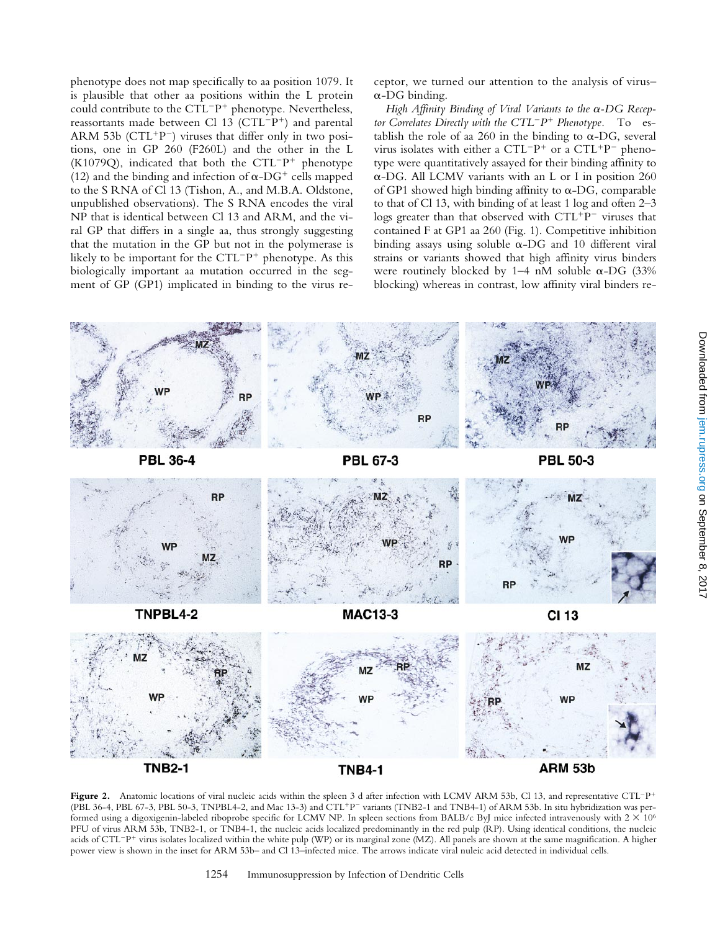phenotype does not map specifically to aa position 1079. It is plausible that other aa positions within the L protein could contribute to the  $CTL^{-}P^{+}$  phenotype. Nevertheless, reassortants made between Cl  $13$  (CTL<sup>-p+</sup>) and parental ARM 53b (CTL<sup>+p-</sup>) viruses that differ only in two positions, one in GP 260 (F260L) and the other in the L (K1079Q), indicated that both the  $CTL^{-}P^{+}$  phenotype (12) and the binding and infection of  $\alpha$ -DG<sup>+</sup> cells mapped to the S RNA of Cl 13 (Tishon, A., and M.B.A. Oldstone, unpublished observations). The S RNA encodes the viral NP that is identical between Cl 13 and ARM, and the viral GP that differs in a single aa, thus strongly suggesting that the mutation in the GP but not in the polymerase is likely to be important for the  $CTL^{-}P^{+}$  phenotype. As this biologically important aa mutation occurred in the segment of GP (GP1) implicated in binding to the virus receptor, we turned our attention to the analysis of virus–  $\alpha$ -DG binding.

*High Affinity Binding of Viral Variants to the* a*-DG Receptor Correlates Directly with the CTL<sup>-</sup>P<sup>+</sup> Phenotype.* To establish the role of aa 260 in the binding to  $\alpha$ -DG, several virus isolates with either a  $CTL^{-}P^{+}$  or a  $CTL^{+}P^{-}$  phenotype were quantitatively assayed for their binding affinity to  $\alpha$ -DG. All LCMV variants with an L or I in position 260 of GP1 showed high binding affinity to  $\alpha$ -DG, comparable to that of Cl 13, with binding of at least 1 log and often 2–3 logs greater than that observed with  $CTL+p-$  viruses that contained F at GP1 aa 260 (Fig. 1). Competitive inhibition binding assays using soluble  $\alpha$ -DG and 10 different viral strains or variants showed that high affinity virus binders were routinely blocked by 1–4 nM soluble  $\alpha$ -DG (33% blocking) whereas in contrast, low affinity viral binders re-



Figure 2. Anatomic locations of viral nucleic acids within the spleen 3 d after infection with LCMV ARM 53b, Cl 13, and representative CTL<sup>-p+</sup> (PBL 36-4, PBL 67-3, PBL 50-3, TNPBL4-2, and Mac 13-3) and CTL<sup>+</sup>P<sup>-</sup> variants (TNB2-1 and TNB4-1) of ARM 53b. In situ hybridization was performed using a digoxigenin-labeled riboprobe specific for LCMV NP. In spleen sections from BALB/c ByJ mice infected intravenously with  $2 \times 10^6$ PFU of virus ARM 53b, TNB2-1, or TNB4-1, the nucleic acids localized predominantly in the red pulp (RP). Using identical conditions, the nucleic acids of CTL<sup>-</sup>P<sup>+</sup> virus isolates localized within the white pulp (WP) or its marginal zone (MZ). All panels are shown at the same magnification. A higher power view is shown in the inset for ARM 53b– and Cl 13–infected mice. The arrows indicate viral nuleic acid detected in individual cells.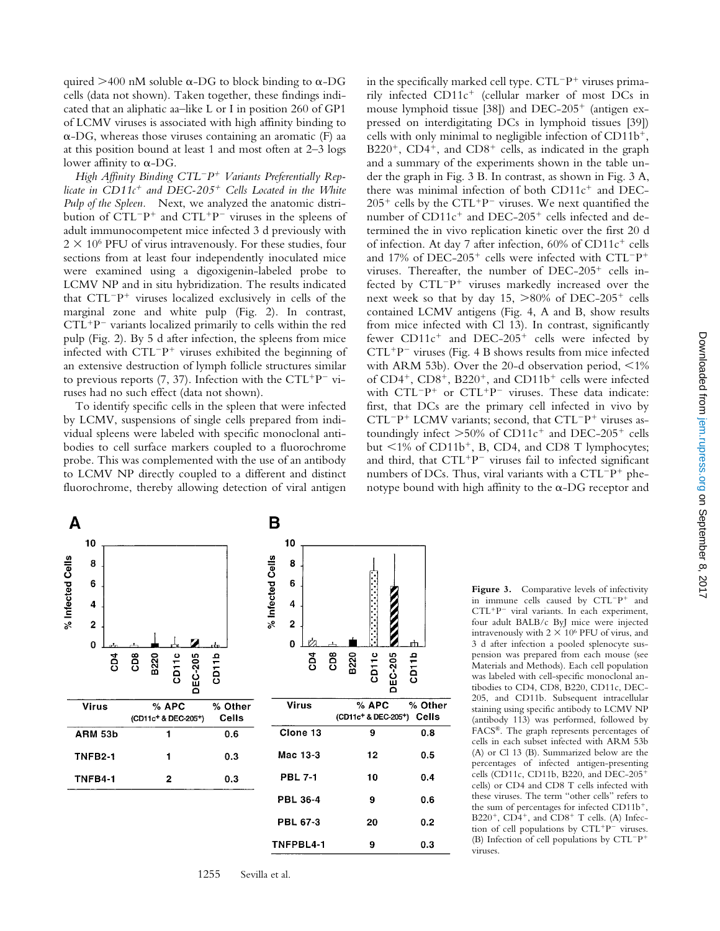quired  $>400$  nM soluble  $\alpha$ -DG to block binding to  $\alpha$ -DG cells (data not shown). Taken together, these findings indicated that an aliphatic aa–like L or I in position 260 of GP1 of LCMV viruses is associated with high affinity binding to  $\alpha$ -DG, whereas those viruses containing an aromatic (F) aa at this position bound at least 1 and most often at 2–3 logs lower affinity to  $\alpha$ -DG.

*High Affinity Binding CTL*2*P*1 *Variants Preferentially Replicate in CD11c<sup>+</sup> and DEC-205<sup>+</sup> Cells Located in the White Pulp of the Spleen.* Next, we analyzed the anatomic distribution of  $CTL^{-}P^{+}$  and  $CTL^{+}P^{-}$  viruses in the spleens of adult immunocompetent mice infected 3 d previously with  $2 \times 10^6$  PFU of virus intravenously. For these studies, four sections from at least four independently inoculated mice were examined using a digoxigenin-labeled probe to LCMV NP and in situ hybridization. The results indicated that  $CTL^{-}P^{+}$  viruses localized exclusively in cells of the marginal zone and white pulp (Fig. 2). In contrast,  $CTL^+P^-$  variants localized primarily to cells within the red pulp (Fig. 2). By 5 d after infection, the spleens from mice infected with  $CTL^{-}P^{+}$  viruses exhibited the beginning of an extensive destruction of lymph follicle structures similar to previous reports (7, 37). Infection with the CTL<sup>+p-</sup> viruses had no such effect (data not shown).

To identify specific cells in the spleen that were infected by LCMV, suspensions of single cells prepared from individual spleens were labeled with specific monoclonal antibodies to cell surface markers coupled to a fluorochrome probe. This was complemented with the use of an antibody to LCMV NP directly coupled to a different and distinct fluorochrome, thereby allowing detection of viral antigen in the specifically marked cell type.  $CTL^{-}P^{+}$  viruses primarily infected  $CD11c^{+}$  (cellular marker of most DCs in mouse lymphoid tissue [38]) and  $DEC-205<sup>+</sup>$  (antigen expressed on interdigitating DCs in lymphoid tissues [39]) cells with only minimal to negligible infection of  $CD11b^{+}$ ,  $B220^+$ , CD4<sup>+</sup>, and CD8<sup>+</sup> cells, as indicated in the graph and a summary of the experiments shown in the table under the graph in Fig. 3 B. In contrast, as shown in Fig. 3 A, there was minimal infection of both  $CD11c<sup>+</sup>$  and DEC- $205^+$  cells by the CTL<sup>+</sup>P<sup>-</sup> viruses. We next quantified the number of  $CD11c^{+}$  and DEC-205<sup>+</sup> cells infected and determined the in vivo replication kinetic over the first 20 d of infection. At day 7 after infection,  $60\%$  of CD11 $c^+$  cells and 17% of DEC-205<sup>+</sup> cells were infected with CTL<sup>-p+</sup> viruses. Thereafter, the number of  $DEC-205^+$  cells infected by  $CTL^{-}P^{+}$  viruses markedly increased over the next week so that by day 15,  $>80\%$  of DEC-205<sup>+</sup> cells contained LCMV antigens (Fig. 4, A and B, show results from mice infected with Cl 13). In contrast, significantly fewer  $CD11c^{+}$  and  $DEC-205^{+}$  cells were infected by  $CTL^+P^-$  viruses (Fig. 4 B shows results from mice infected with ARM 53b). Over the 20-d observation period,  $\leq 1\%$ of  $CD4^+$ ,  $CD8^+$ ,  $B220^+$ , and  $CD11b^+$  cells were infected with  $CTL^{-}P^{+}$  or  $CTL^{+}P^{-}$  viruses. These data indicate: first, that DCs are the primary cell infected in vivo by  $CTL^{-}P^{+}$  LCMV variants; second, that  $CTL^{-}P^{+}$  viruses astoundingly infect  $>50\%$  of CD11c<sup>+</sup> and DEC-205<sup>+</sup> cells but  $\langle 1\%$  of CD11b<sup>+</sup>, B, CD4, and CD8 T lymphocytes; and third, that  $CTL+p^-$  viruses fail to infected significant numbers of DCs. Thus, viral variants with a  $CTL^{-}P^{+}$  phenotype bound with high affinity to the  $\alpha$ -DG receptor and



1255 Sevilla et al.

Figure 3. Comparative levels of infectivity in immune cells caused by  $CTL^{-}P^{+}$  and  $CTL+p^-$  viral variants. In each experiment, four adult BALB/c ByJ mice were injected intravenously with  $2 \times 10^6$  PFU of virus, and 3 d after infection a pooled splenocyte suspension was prepared from each mouse (see Materials and Methods). Each cell population was labeled with cell-specific monoclonal antibodies to CD4, CD8, B220, CD11c, DEC-205, and CD11b. Subsequent intracellular staining using specific antibody to LCMV NP (antibody 113) was performed, followed by FACS®. The graph represents percentages of cells in each subset infected with ARM 53b (A) or Cl 13 (B). Summarized below are the percentages of infected antigen-presenting cells (CD11c, CD11b, B220, and DEC-205<sup>+</sup> cells) or CD4 and CD8 T cells infected with these viruses. The term "other cells" refers to the sum of percentages for infected  $CD11b^{+}$ , B220<sup>+</sup>, CD4<sup>+</sup>, and CD8<sup>+</sup> T cells. (A) Infection of cell populations by  $CTL+P^-$  viruses. (B) Infection of cell populations by  $CTL^{-}P^{+}$ viruses.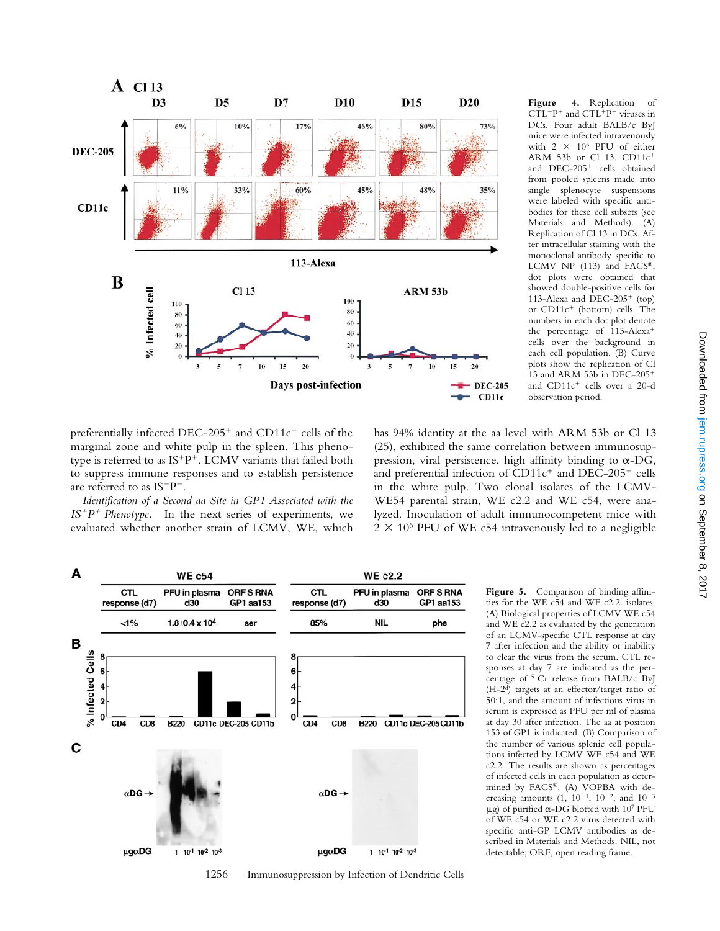

**Figure 4.** Replication of  $CTL^{-}P^{+}$  and  $CTL^{+}P^{-}$  viruses in DCs. Four adult BALB/c ByJ mice were infected intravenously with  $2 \times 10^6$  PFU of either ARM 53b or Cl 13.  $CD11c<sup>+</sup>$ and  $DEC-205$ <sup>+</sup> cells obtained from pooled spleens made into single splenocyte suspensions were labeled with specific antibodies for these cell subsets (see Materials and Methods). (A) Replication of Cl 13 in DCs. After intracellular staining with the monoclonal antibody specific to LCMV NP (113) and FACS®, dot plots were obtained that showed double-positive cells for 113-Alexa and  $\overline{DEC}$ -205<sup>+</sup> (top) or  $CD11c^{+}$  (bottom) cells. The numbers in each dot plot denote the percentage of  $113$ -Alexa<sup>+</sup> cells over the background in each cell population. (B) Curve plots show the replication of Cl 13 and ARM 53b in DEC-205<sup>+</sup> and CD11c<sup>+</sup> cells over a 20-d observation period.

preferentially infected DEC-205<sup>+</sup> and CD11c<sup>+</sup> cells of the marginal zone and white pulp in the spleen. This phenotype is referred to as  $IS+P^+$ . LCMV variants that failed both to suppress immune responses and to establish persistence are referred to as  $IS^{-}P^{-}$ .

*Identification of a Second aa Site in GP1 Associated with the*  $IS^{+}P^{+}$  Phenotype. In the next series of experiments, we evaluated whether another strain of LCMV, WE, which

has 94% identity at the aa level with ARM 53b or Cl 13 (25), exhibited the same correlation between immunosuppression, viral persistence, high affinity binding to  $\alpha$ -DG, and preferential infection of  $CD11c^+$  and DEC-205<sup>+</sup> cells in the white pulp. Two clonal isolates of the LCMV-WE54 parental strain, WE c2.2 and WE c54, were analyzed. Inoculation of adult immunocompetent mice with  $2 \times 10^6$  PFU of WE c54 intravenously led to a negligible



1256 Immunosuppression by Infection of Dendritic Cells

**Figure 5.** Comparison of binding affinities for the WE c54 and WE c2.2. isolates. (A) Biological properties of LCMV WE c54 and WE c2.2 as evaluated by the generation of an LCMV-specific CTL response at day 7 after infection and the ability or inability to clear the virus from the serum. CTL responses at day 7 are indicated as the percentage of 51Cr release from BALB/c ByJ (H-2d) targets at an effector/target ratio of 50:1, and the amount of infectious virus in serum is expressed as PFU per ml of plasma at day 30 after infection. The aa at position 153 of GP1 is indicated. (B) Comparison of the number of various splenic cell populations infected by LCMV WE c54 and WE c2.2. The results are shown as percentages of infected cells in each population as determined by FACS®. (A) VOPBA with decreasing amounts  $(1, 10^{-1}, 10^{-2},$  and  $10^{-3}$  $\mu$ g) of purified  $\alpha$ -DG blotted with 107 PFU of WE c54 or WE c2.2 virus detected with specific anti-GP LCMV antibodies as described in Materials and Methods. NIL, not detectable; ORF, open reading frame.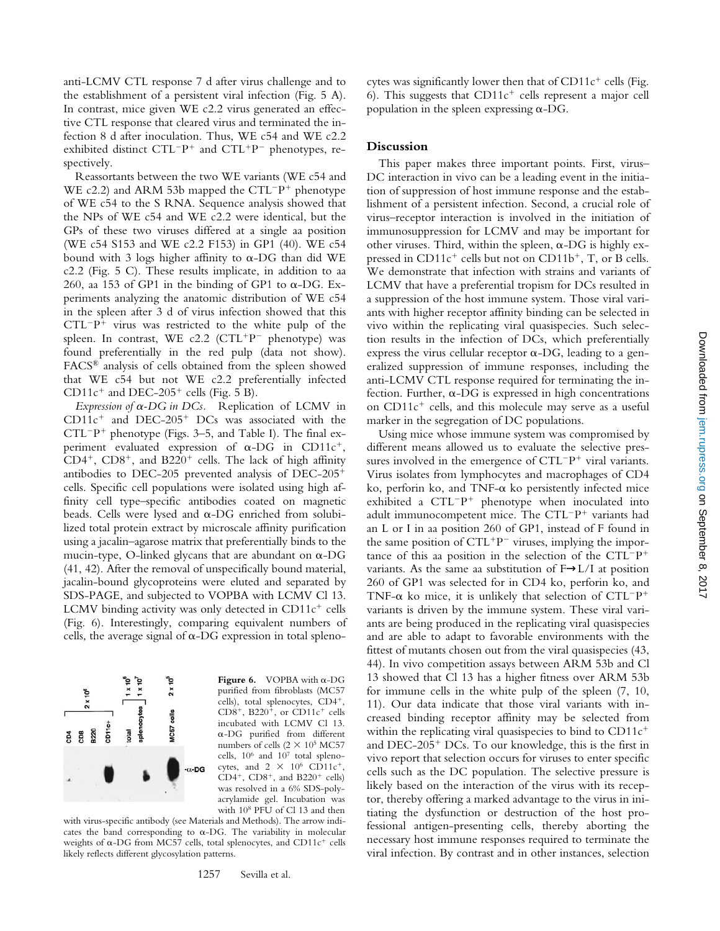anti-LCMV CTL response 7 d after virus challenge and to the establishment of a persistent viral infection (Fig. 5 A). In contrast, mice given WE c2.2 virus generated an effective CTL response that cleared virus and terminated the infection 8 d after inoculation. Thus, WE c54 and WE c2.2 exhibited distinct  $CTL^{-}P^{+}$  and  $CTL^{+}P^{-}$  phenotypes, respectively.

Reassortants between the two WE variants (WE c54 and WE c2.2) and ARM 53b mapped the  $CTL^{-}P^{+}$  phenotype of WE c54 to the S RNA. Sequence analysis showed that the NPs of WE c54 and WE c2.2 were identical, but the GPs of these two viruses differed at a single aa position (WE c54 S153 and WE c2.2 F153) in GP1 (40). WE c54 bound with 3 logs higher affinity to  $\alpha$ -DG than did WE c2.2 (Fig. 5 C). These results implicate, in addition to aa 260, aa 153 of GP1 in the binding of GP1 to  $\alpha$ -DG. Experiments analyzing the anatomic distribution of WE c54 in the spleen after 3 d of virus infection showed that this  $CTL^{-}P^{+}$  virus was restricted to the white pulp of the spleen. In contrast, WE c2.2 ( $CTL+p$ <sup>-</sup> phenotype) was found preferentially in the red pulp (data not show). FACS® analysis of cells obtained from the spleen showed that WE c54 but not WE c2.2 preferentially infected CD11 $c^+$  and DEC-205<sup>+</sup> cells (Fig. 5 B).

*Expression of* a*-DG in DCs.* Replication of LCMV in  $CD11c^{+}$  and  $DEC-205^{+}$  DCs was associated with the  $CTL^{-}P^{+}$  phenotype (Figs. 3–5, and Table I). The final experiment evaluated expression of  $\alpha$ -DG in CD11 $c^+$ ,  $CD4^+$ ,  $CD8^+$ , and  $B220^+$  cells. The lack of high affinity antibodies to DEC-205 prevented analysis of DEC-205<sup>+</sup> cells. Specific cell populations were isolated using high affinity cell type–specific antibodies coated on magnetic beads. Cells were lysed and  $\alpha$ -DG enriched from solubilized total protein extract by microscale affinity purification using a jacalin–agarose matrix that preferentially binds to the mucin-type, O-linked glycans that are abundant on  $\alpha$ -DG (41, 42). After the removal of unspecifically bound material, jacalin-bound glycoproteins were eluted and separated by SDS-PAGE, and subjected to VOPBA with LCMV Cl 13. LCMV binding activity was only detected in  $CD11c^{+}$  cells (Fig. 6). Interestingly, comparing equivalent numbers of cells, the average signal of  $\alpha$ -DG expression in total spleno-



**Figure 6.** VOPBA with  $\alpha$ -DG purified from fibroblasts (MC57 cells), total splenocytes,  $CD4^+$ , CD8<sup>+</sup>, B220<sup>+</sup>, or CD11c<sup>+</sup> cells incubated with LCMV Cl 13. a-DG purified from different numbers of cells  $(2 \times 10^5 \text{ MC}57)$ cells,  $10^6$  and  $10^7$  total splenocytes, and  $2 \times 10^6$  CD11c<sup>+</sup>,  $CD4^+$ ,  $CD8^+$ , and  $B220^+$  cells) was resolved in a 6% SDS-polyacrylamide gel. Incubation was with 108 PFU of Cl 13 and then

with virus-specific antibody (see Materials and Methods). The arrow indicates the band corresponding to  $\alpha$ -DG. The variability in molecular weights of  $\alpha$ -DG from MC57 cells, total splenocytes, and CD11c<sup>+</sup> cells likely reflects different glycosylation patterns.

cytes was significantly lower then that of  $CD11c^{+}$  cells (Fig. 6). This suggests that  $CD11c^+$  cells represent a major cell population in the spleen expressing  $\alpha$ -DG.

### **Discussion**

This paper makes three important points. First, virus– DC interaction in vivo can be a leading event in the initiation of suppression of host immune response and the establishment of a persistent infection. Second, a crucial role of virus–receptor interaction is involved in the initiation of immunosuppression for LCMV and may be important for other viruses. Third, within the spleen,  $\alpha$ -DG is highly expressed in  $CD11c^+$  cells but not on  $CD11b^+$ , T, or B cells. We demonstrate that infection with strains and variants of LCMV that have a preferential tropism for DCs resulted in a suppression of the host immune system. Those viral variants with higher receptor affinity binding can be selected in vivo within the replicating viral quasispecies. Such selection results in the infection of DCs, which preferentially express the virus cellular receptor  $\alpha$ -DG, leading to a generalized suppression of immune responses, including the anti-LCMV CTL response required for terminating the infection. Further,  $\alpha$ -DG is expressed in high concentrations on  $CD11c<sup>+</sup>$  cells, and this molecule may serve as a useful marker in the segregation of DC populations.

Using mice whose immune system was compromised by different means allowed us to evaluate the selective pressures involved in the emergence of  $CTL^{-}P^{+}$  viral variants. Virus isolates from lymphocytes and macrophages of CD4 ko, perforin ko, and TNF- $\alpha$  ko persistently infected mice exhibited a  $CTL^{-}P^{+}$  phenotype when inoculated into adult immunocompetent mice. The  $CTL^{-}P^{+}$  variants had an L or I in aa position 260 of GP1, instead of F found in the same position of  $CTL+P^-$  viruses, implying the importance of this aa position in the selection of the  $CTL^{-}P^{+}$ variants. As the same aa substitution of F→L/I at position 260 of GP1 was selected for in CD4 ko, perforin ko, and TNF- $\alpha$  ko mice, it is unlikely that selection of CTL<sup>-</sup>P<sup>+</sup> variants is driven by the immune system. These viral variants are being produced in the replicating viral quasispecies and are able to adapt to favorable environments with the fittest of mutants chosen out from the viral quasispecies (43, 44). In vivo competition assays between ARM 53b and Cl 13 showed that Cl 13 has a higher fitness over ARM 53b for immune cells in the white pulp of the spleen (7, 10, 11). Our data indicate that those viral variants with increased binding receptor affinity may be selected from within the replicating viral quasispecies to bind to  $CD11c^+$ and  $DEC-205^+$   $DCs$ . To our knowledge, this is the first in vivo report that selection occurs for viruses to enter specific cells such as the DC population. The selective pressure is likely based on the interaction of the virus with its receptor, thereby offering a marked advantage to the virus in initiating the dysfunction or destruction of the host professional antigen-presenting cells, thereby aborting the necessary host immune responses required to terminate the viral infection. By contrast and in other instances, selection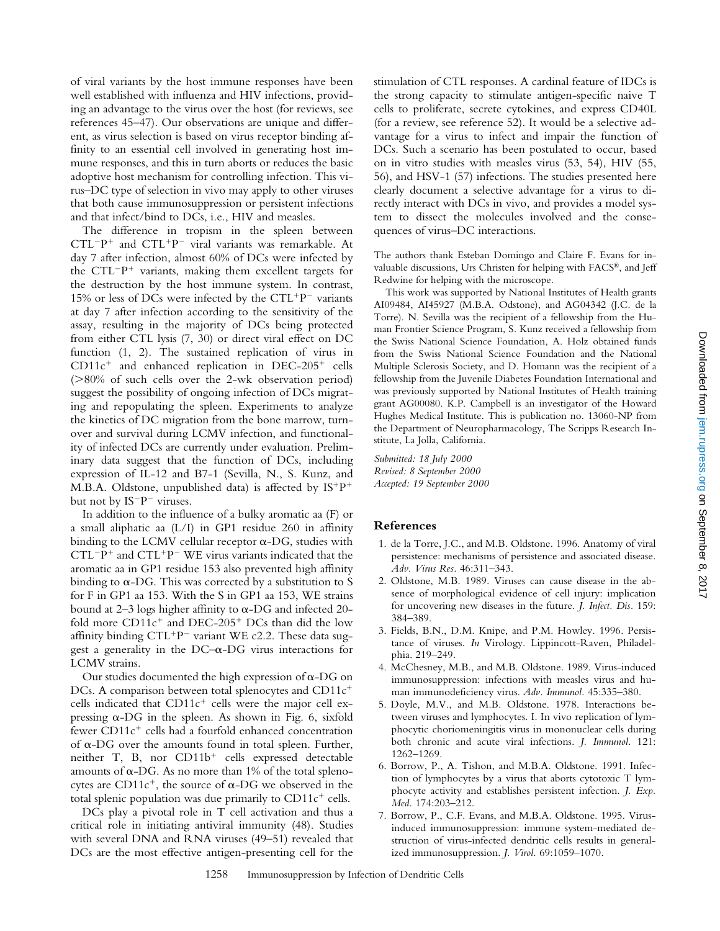of viral variants by the host immune responses have been well established with influenza and HIV infections, providing an advantage to the virus over the host (for reviews, see references 45–47). Our observations are unique and different, as virus selection is based on virus receptor binding affinity to an essential cell involved in generating host immune responses, and this in turn aborts or reduces the basic adoptive host mechanism for controlling infection. This virus–DC type of selection in vivo may apply to other viruses that both cause immunosuppression or persistent infections and that infect/bind to DCs, i.e., HIV and measles.

The difference in tropism in the spleen between  $CTL^{-}P^{+}$  and  $CTL^{+}P^{-}$  viral variants was remarkable. At day 7 after infection, almost 60% of DCs were infected by the  $CTL^{-}P^{+}$  variants, making them excellent targets for the destruction by the host immune system. In contrast, 15% or less of DCs were infected by the  $CTL+p-$  variants at day 7 after infection according to the sensitivity of the assay, resulting in the majority of DCs being protected from either CTL lysis (7, 30) or direct viral effect on DC function (1, 2). The sustained replication of virus in  $CD11c<sup>+</sup>$  and enhanced replication in DEC-205<sup>+</sup> cells  $(>=80\%$  of such cells over the 2-wk observation period) suggest the possibility of ongoing infection of DCs migrating and repopulating the spleen. Experiments to analyze the kinetics of DC migration from the bone marrow, turnover and survival during LCMV infection, and functionality of infected DCs are currently under evaluation. Preliminary data suggest that the function of DCs, including expression of IL-12 and B7-1 (Sevilla, N., S. Kunz, and M.B.A. Oldstone, unpublished data) is affected by  $IS^+P^+$ but not by IS<sup>-</sup>P<sup>-</sup> viruses.

In addition to the influence of a bulky aromatic aa (F) or a small aliphatic aa (L/I) in GP1 residue 260 in affinity binding to the LCMV cellular receptor  $\alpha$ -DG, studies with  $CTL^{-}P^{+}$  and  $CTL^{+}P^{-}$  WE virus variants indicated that the aromatic aa in GP1 residue 153 also prevented high affinity binding to  $\alpha$ -DG. This was corrected by a substitution to S for F in GP1 aa 153. With the S in GP1 aa 153, WE strains bound at 2–3 logs higher affinity to  $\alpha$ -DG and infected 20fold more  $CD11c^{+}$  and  $DEC-205^{+}$  DCs than did the low affinity binding  $CTL^+P^-$  variant WE c2.2. These data suggest a generality in the  $DC-\alpha$ -DG virus interactions for LCMV strains.

Our studies documented the high expression of  $\alpha$ -DG on DCs. A comparison between total splenocytes and  $CD11c^+$ cells indicated that  $CD11c^+$  cells were the major cell expressing  $\alpha$ -DG in the spleen. As shown in Fig. 6, sixfold fewer  $CD11c<sup>+</sup>$  cells had a fourfold enhanced concentration of  $\alpha$ -DG over the amounts found in total spleen. Further, neither T, B, nor  $CD11b<sup>+</sup>$  cells expressed detectable amounts of  $\alpha$ -DG. As no more than 1% of the total splenocytes are CD11 $c^+$ , the source of  $\alpha$ -DG we observed in the total splenic population was due primarily to  $CD11c^+$  cells.

DCs play a pivotal role in T cell activation and thus a critical role in initiating antiviral immunity (48). Studies with several DNA and RNA viruses (49–51) revealed that DCs are the most effective antigen-presenting cell for the stimulation of CTL responses. A cardinal feature of IDCs is the strong capacity to stimulate antigen-specific naive T cells to proliferate, secrete cytokines, and express CD40L (for a review, see reference 52). It would be a selective advantage for a virus to infect and impair the function of DCs. Such a scenario has been postulated to occur, based on in vitro studies with measles virus (53, 54), HIV (55, 56), and HSV-1 (57) infections. The studies presented here clearly document a selective advantage for a virus to directly interact with DCs in vivo, and provides a model system to dissect the molecules involved and the consequences of virus–DC interactions.

The authors thank Esteban Domingo and Claire F. Evans for invaluable discussions, Urs Christen for helping with FACS®, and Jeff Redwine for helping with the microscope.

This work was supported by National Institutes of Health grants AI09484, AI45927 (M.B.A. Odstone), and AG04342 (J.C. de la Torre). N. Sevilla was the recipient of a fellowship from the Human Frontier Science Program, S. Kunz received a fellowship from the Swiss National Science Foundation, A. Holz obtained funds from the Swiss National Science Foundation and the National Multiple Sclerosis Society, and D. Homann was the recipient of a fellowship from the Juvenile Diabetes Foundation International and was previously supported by National Institutes of Health training grant AG00080. K.P. Campbell is an investigator of the Howard Hughes Medical Institute. This is publication no. 13060-NP from the Department of Neuropharmacology, The Scripps Research Institute, La Jolla, California.

*Submitted: 18 July 2000 Revised: 8 September 2000 Accepted: 19 September 2000*

### **References**

- 1. de la Torre, J.C., and M.B. Oldstone. 1996. Anatomy of viral persistence: mechanisms of persistence and associated disease. *Adv. Virus Res.* 46:311–343.
- 2. Oldstone, M.B. 1989. Viruses can cause disease in the absence of morphological evidence of cell injury: implication for uncovering new diseases in the future. *J. Infect. Dis.* 159: 384–389.
- 3. Fields, B.N., D.M. Knipe, and P.M. Howley. 1996. Persistance of viruses. *In* Virology. Lippincott-Raven, Philadelphia. 219–249.
- 4. McChesney, M.B., and M.B. Oldstone. 1989. Virus-induced immunosuppression: infections with measles virus and human immunodeficiency virus. *Adv. Immunol.* 45:335–380.
- 5. Doyle, M.V., and M.B. Oldstone. 1978. Interactions between viruses and lymphocytes. I. In vivo replication of lymphocytic choriomeningitis virus in mononuclear cells during both chronic and acute viral infections. *J. Immunol.* 121: 1262–1269.
- 6. Borrow, P., A. Tishon, and M.B.A. Oldstone. 1991. Infection of lymphocytes by a virus that aborts cytotoxic T lymphocyte activity and establishes persistent infection. *J. Exp. Med.* 174:203–212.
- 7. Borrow, P., C.F. Evans, and M.B.A. Oldstone. 1995. Virusinduced immunosuppression: immune system-mediated destruction of virus-infected dendritic cells results in generalized immunosuppression. *J. Virol.* 69:1059–1070.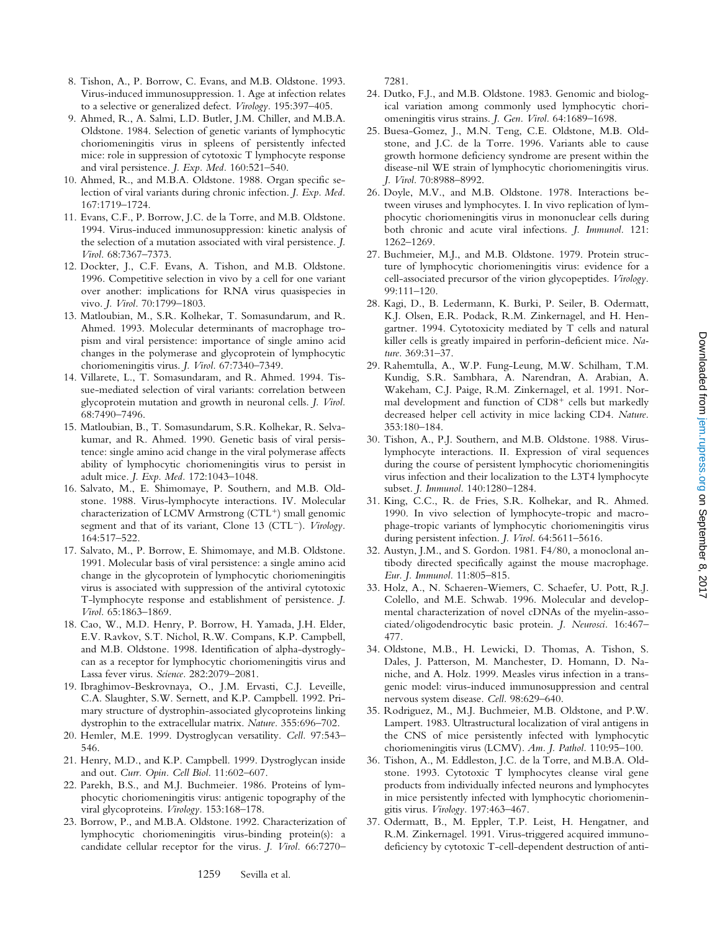Downloaded from jem.rupress.org on September 8, 2017 Downloaded from [jem.rupress.org](http://jem.rupress.org/) on September 8, 2017

- 8. Tishon, A., P. Borrow, C. Evans, and M.B. Oldstone. 1993. Virus-induced immunosuppression. 1. Age at infection relates to a selective or generalized defect. *Virology.* 195:397–405.
- 9. Ahmed, R., A. Salmi, L.D. Butler, J.M. Chiller, and M.B.A. Oldstone. 1984. Selection of genetic variants of lymphocytic choriomeningitis virus in spleens of persistently infected mice: role in suppression of cytotoxic T lymphocyte response and viral persistence. *J. Exp. Med.* 160:521–540.
- 10. Ahmed, R., and M.B.A. Oldstone. 1988. Organ specific selection of viral variants during chronic infection. *J. Exp. Med.* 167:1719–1724.
- 11. Evans, C.F., P. Borrow, J.C. de la Torre, and M.B. Oldstone. 1994. Virus-induced immunosuppression: kinetic analysis of the selection of a mutation associated with viral persistence. *J. Virol.* 68:7367–7373.
- 12. Dockter, J., C.F. Evans, A. Tishon, and M.B. Oldstone. 1996. Competitive selection in vivo by a cell for one variant over another: implications for RNA virus quasispecies in vivo. *J. Virol.* 70:1799–1803.
- 13. Matloubian, M., S.R. Kolhekar, T. Somasundarum, and R. Ahmed. 1993. Molecular determinants of macrophage tropism and viral persistence: importance of single amino acid changes in the polymerase and glycoprotein of lymphocytic choriomeningitis virus. *J. Virol.* 67:7340–7349.
- 14. Villarete, L., T. Somasundaram, and R. Ahmed. 1994. Tissue-mediated selection of viral variants: correlation between glycoprotein mutation and growth in neuronal cells. *J. Virol.* 68:7490–7496.
- 15. Matloubian, B., T. Somasundarum, S.R. Kolhekar, R. Selvakumar, and R. Ahmed. 1990. Genetic basis of viral persistence: single amino acid change in the viral polymerase affects ability of lymphocytic choriomeningitis virus to persist in adult mice. *J. Exp. Med.* 172:1043–1048.
- 16. Salvato, M., E. Shimomaye, P. Southern, and M.B. Oldstone. 1988. Virus-lymphocyte interactions. IV. Molecular characterization of LCMV Armstrong  $(CTL<sup>+</sup>)$  small genomic segment and that of its variant, Clone 13 (CTL<sup>-</sup>). *Virology*. 164:517–522.
- 17. Salvato, M., P. Borrow, E. Shimomaye, and M.B. Oldstone. 1991. Molecular basis of viral persistence: a single amino acid change in the glycoprotein of lymphocytic choriomeningitis virus is associated with suppression of the antiviral cytotoxic T-lymphocyte response and establishment of persistence. *J. Virol.* 65:1863–1869.
- 18. Cao, W., M.D. Henry, P. Borrow, H. Yamada, J.H. Elder, E.V. Ravkov, S.T. Nichol, R.W. Compans, K.P. Campbell, and M.B. Oldstone. 1998. Identification of alpha-dystroglycan as a receptor for lymphocytic choriomeningitis virus and Lassa fever virus. *Science.* 282:2079–2081.
- 19. Ibraghimov-Beskrovnaya, O., J.M. Ervasti, C.J. Leveille, C.A. Slaughter, S.W. Sernett, and K.P. Campbell. 1992. Primary structure of dystrophin-associated glycoproteins linking dystrophin to the extracellular matrix. *Nature.* 355:696–702.
- 20. Hemler, M.E. 1999. Dystroglycan versatility. *Cell.* 97:543– 546.
- 21. Henry, M.D., and K.P. Campbell. 1999. Dystroglycan inside and out. *Curr. Opin. Cell Biol.* 11:602–607.
- 22. Parekh, B.S., and M.J. Buchmeier. 1986. Proteins of lymphocytic choriomeningitis virus: antigenic topography of the viral glycoproteins. *Virology.* 153:168–178.
- 23. Borrow, P., and M.B.A. Oldstone. 1992. Characterization of lymphocytic choriomeningitis virus-binding protein(s): a candidate cellular receptor for the virus. *J. Virol.* 66:7270–

7281.

- 24. Dutko, F.J., and M.B. Oldstone. 1983. Genomic and biological variation among commonly used lymphocytic choriomeningitis virus strains. *J. Gen. Virol.* 64:1689–1698.
- 25. Buesa-Gomez, J., M.N. Teng, C.E. Oldstone, M.B. Oldstone, and J.C. de la Torre. 1996. Variants able to cause growth hormone deficiency syndrome are present within the disease-nil WE strain of lymphocytic choriomeningitis virus. *J. Virol.* 70:8988–8992.
- 26. Doyle, M.V., and M.B. Oldstone. 1978. Interactions between viruses and lymphocytes. I. In vivo replication of lymphocytic choriomeningitis virus in mononuclear cells during both chronic and acute viral infections. *J. Immunol.* 121: 1262–1269.
- 27. Buchmeier, M.J., and M.B. Oldstone. 1979. Protein structure of lymphocytic choriomeningitis virus: evidence for a cell-associated precursor of the virion glycopeptides. *Virology.* 99:111–120.
- 28. Kagi, D., B. Ledermann, K. Burki, P. Seiler, B. Odermatt, K.J. Olsen, E.R. Podack, R.M. Zinkernagel, and H. Hengartner. 1994. Cytotoxicity mediated by T cells and natural killer cells is greatly impaired in perforin-deficient mice. *Nature.* 369:31–37.
- 29. Rahemtulla, A., W.P. Fung-Leung, M.W. Schilham, T.M. Kundig, S.R. Sambhara, A. Narendran, A. Arabian, A. Wakeham, C.J. Paige, R.M. Zinkernagel, et al. 1991. Normal development and function of  $CD8<sup>+</sup>$  cells but markedly decreased helper cell activity in mice lacking CD4. *Nature.* 353:180–184.
- 30. Tishon, A., P.J. Southern, and M.B. Oldstone. 1988. Viruslymphocyte interactions. II. Expression of viral sequences during the course of persistent lymphocytic choriomeningitis virus infection and their localization to the L3T4 lymphocyte subset. *J. Immunol.* 140:1280–1284.
- 31. King, C.C., R. de Fries, S.R. Kolhekar, and R. Ahmed. 1990. In vivo selection of lymphocyte-tropic and macrophage-tropic variants of lymphocytic choriomeningitis virus during persistent infection. *J. Virol.* 64:5611–5616.
- 32. Austyn, J.M., and S. Gordon. 1981. F4/80, a monoclonal antibody directed specifically against the mouse macrophage. *Eur. J. Immunol.* 11:805–815.
- 33. Holz, A., N. Schaeren-Wiemers, C. Schaefer, U. Pott, R.J. Colello, and M.E. Schwab. 1996. Molecular and developmental characterization of novel cDNAs of the myelin-associated/oligodendrocytic basic protein. *J. Neurosci.* 16:467– 477.
- 34. Oldstone, M.B., H. Lewicki, D. Thomas, A. Tishon, S. Dales, J. Patterson, M. Manchester, D. Homann, D. Naniche, and A. Holz. 1999. Measles virus infection in a transgenic model: virus-induced immunosuppression and central nervous system disease. *Cell.* 98:629–640.
- 35. Rodriguez, M., M.J. Buchmeier, M.B. Oldstone, and P.W. Lampert. 1983. Ultrastructural localization of viral antigens in the CNS of mice persistently infected with lymphocytic choriomeningitis virus (LCMV). *Am. J. Pathol.* 110:95–100.
- 36. Tishon, A., M. Eddleston, J.C. de la Torre, and M.B.A. Oldstone. 1993. Cytotoxic T lymphocytes cleanse viral gene products from individually infected neurons and lymphocytes in mice persistently infected with lymphocytic choriomeningitis virus. *Virology.* 197:463–467.
- 37. Odermatt, B., M. Eppler, T.P. Leist, H. Hengatner, and R.M. Zinkernagel. 1991. Virus-triggered acquired immunodeficiency by cytotoxic T-cell-dependent destruction of anti-